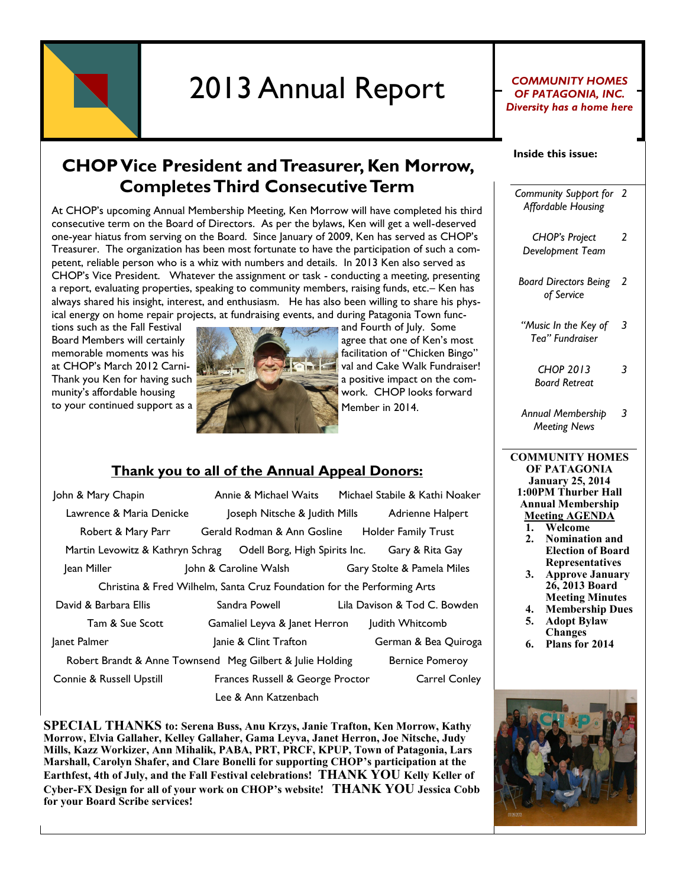

# 2013 Annual Report For PATAGONIA, INC.

### *OF PATAGONIA, INC. Diversity has a home here*

#### **Inside this issue:**

**CHOP Vice President and Treasurer, Ken Morrow, Completes Third Consecutive Term**

At CHOP's upcoming Annual Membership Meeting, Ken Morrow will have completed his third consecutive term on the Board of Directors. As per the bylaws, Ken will get a well-deserved one-year hiatus from serving on the Board. Since January of 2009, Ken has served as CHOP's Treasurer. The organization has been most fortunate to have the participation of such a competent, reliable person who is a whiz with numbers and details. In 2013 Ken also served as CHOP's Vice President. Whatever the assignment or task - conducting a meeting, presenting a report, evaluating properties, speaking to community members, raising funds, etc.– Ken has always shared his insight, interest, and enthusiasm. He has also been willing to share his physical energy on home repair projects, at fundraising events, and during Patagonia Town func-



at CHOP's March 2012 Carni- value of the Carnival and Cake Walk Fundraiser!

#### **Thank you to all of the Annual Appeal Donors:**

| John & Mary Chapin                                                      | Annie & Michael Waits                           | Michael Stabile & Kathi Noaker |
|-------------------------------------------------------------------------|-------------------------------------------------|--------------------------------|
| Lawrence & Maria Denicke                                                | Joseph Nitsche & Judith Mills                   | Adrienne Halpert               |
| Robert & Mary Parr                                                      | Gerald Rodman & Ann Gosline Holder Family Trust |                                |
| Martin Levowitz & Kathryn Schrag  Odell Borg, High Spirits Inc.         |                                                 | Gary & Rita Gay                |
| Jean Miller                                                             | John & Caroline Walsh                           | Gary Stolte & Pamela Miles     |
| Christina & Fred Wilhelm, Santa Cruz Foundation for the Performing Arts |                                                 |                                |
| David & Barbara Ellis                                                   | Sandra Powell                                   | Lila Davison & Tod C. Bowden   |
| Tam & Sue Scott                                                         | Gamaliel Leyva & Janet Herron                   | Judith Whitcomb                |
| Janet Palmer                                                            | Janie & Clint Trafton                           | German & Bea Quiroga           |
| Robert Brandt & Anne Townsend Meg Gilbert & Julie Holding               |                                                 | <b>Bernice Pomeroy</b>         |
| Connie & Russell Upstill                                                | Frances Russell & George Proctor                | <b>Carrel Conley</b>           |
|                                                                         | Lee & Ann Katzenbach                            |                                |

**SPECIAL THANKS to: Serena Buss, Anu Krzys, Janie Trafton, Ken Morrow, Kathy Morrow, Elvia Gallaher, Kelley Gallaher, Gama Leyva, Janet Herron, Joe Nitsche, Judy Mills, Kazz Workizer, Ann Mihalik, PABA, PRT, PRCF, KPUP, Town of Patagonia, Lars Marshall, Carolyn Shafer, and Clare Bonelli for supporting CHOP's participation at the Earthfest, 4th of July, and the Fall Festival celebrations! THANK YOU Kelly Keller of Cyber-FX Design for all of your work on CHOP's website! THANK YOU Jessica Cobb for your Board Scribe services!** 

*Community Support for 2 Affordable Housing*

*CHOP's Project Development Team*

*2*

*3*

- *Board Directors Being 2 of Service*
- *"Music In the Key of 3 Tea" Fundraiser*
	- *CHOP 2013 Board Retreat*
- *Annual Membership Meeting News 3*
- **COMMUNITY HOMES OF PATAGONIA January 25, 2014 1:00PM Thurber Hall Annual Membership Meeting AGENDA**
	- **1. Welcome**
	- **2. Nomination and Election of Board Representatives**
	- **3. Approve January 26, 2013 Board Meeting Minutes**
	- **4. Membership Dues 5. Adopt Bylaw**
	- **Changes**
	- **6. Plans for 2014**

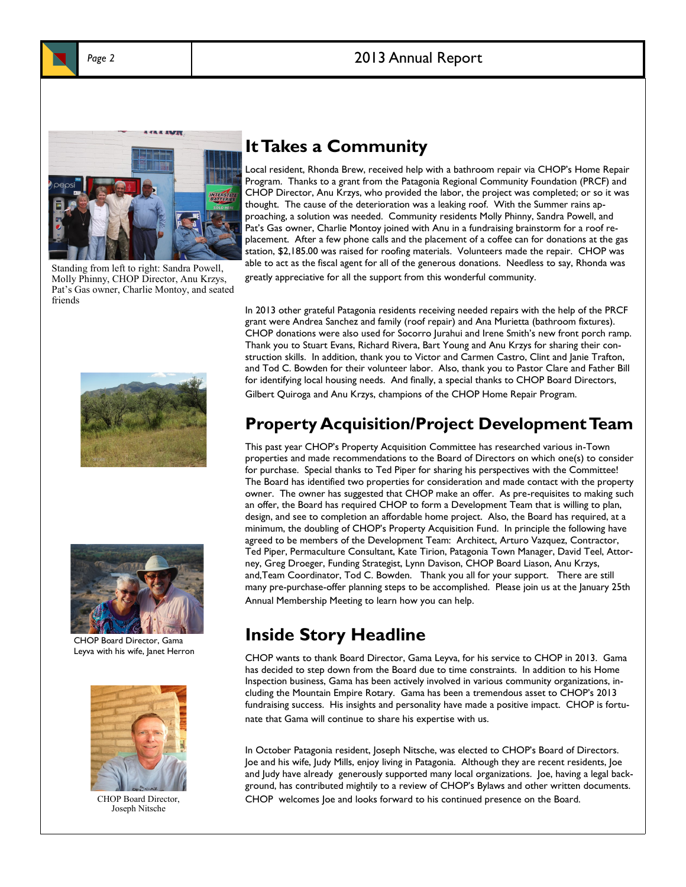



Standing from left to right: Sandra Powell, Molly Phinny, CHOP Director, Anu Krzys, Pat's Gas owner, Charlie Montoy, and seated friends





CHOP Board Director, Gama Leyva with his wife, Janet Herron



CHOP Board Director, Joseph Nitsche

# **It Takes a Community**

Local resident, Rhonda Brew, received help with a bathroom repair via CHOP's Home Repair Program. Thanks to a grant from the Patagonia Regional Community Foundation (PRCF) and CHOP Director, Anu Krzys, who provided the labor, the project was completed; or so it was thought. The cause of the deterioration was a leaking roof. With the Summer rains approaching, a solution was needed. Community residents Molly Phinny, Sandra Powell, and Pat's Gas owner, Charlie Montoy joined with Anu in a fundraising brainstorm for a roof replacement. After a few phone calls and the placement of a coffee can for donations at the gas station, \$2,185.00 was raised for roofing materials. Volunteers made the repair. CHOP was able to act as the fiscal agent for all of the generous donations. Needless to say, Rhonda was greatly appreciative for all the support from this wonderful community.

In 2013 other grateful Patagonia residents receiving needed repairs with the help of the PRCF grant were Andrea Sanchez and family (roof repair) and Ana Murietta (bathroom fixtures). CHOP donations were also used for Socorro Jurahui and Irene Smith's new front porch ramp. Thank you to Stuart Evans, Richard Rivera, Bart Young and Anu Krzys for sharing their construction skills. In addition, thank you to Victor and Carmen Castro, Clint and Janie Trafton, and Tod C. Bowden for their volunteer labor. Also, thank you to Pastor Clare and Father Bill for identifying local housing needs. And finally, a special thanks to CHOP Board Directors, Gilbert Quiroga and Anu Krzys, champions of the CHOP Home Repair Program.

# **Property Acquisition/Project Development Team**

This past year CHOP's Property Acquisition Committee has researched various in-Town properties and made recommendations to the Board of Directors on which one(s) to consider for purchase. Special thanks to Ted Piper for sharing his perspectives with the Committee! The Board has identified two properties for consideration and made contact with the property owner. The owner has suggested that CHOP make an offer. As pre-requisites to making such an offer, the Board has required CHOP to form a Development Team that is willing to plan, design, and see to completion an affordable home project. Also, the Board has required, at a minimum, the doubling of CHOP's Property Acquisition Fund. In principle the following have agreed to be members of the Development Team: Architect, Arturo Vazquez, Contractor, Ted Piper, Permaculture Consultant, Kate Tirion, Patagonia Town Manager, David Teel, Attorney, Greg Droeger, Funding Strategist, Lynn Davison, CHOP Board Liason, Anu Krzys, and,Team Coordinator, Tod C. Bowden. Thank you all for your support. There are still many pre-purchase-offer planning steps to be accomplished. Please join us at the January 25th Annual Membership Meeting to learn how you can help.

# **Inside Story Headline**

CHOP wants to thank Board Director, Gama Leyva, for his service to CHOP in 2013. Gama has decided to step down from the Board due to time constraints. In addition to his Home Inspection business, Gama has been actively involved in various community organizations, including the Mountain Empire Rotary. Gama has been a tremendous asset to CHOP's 2013 fundraising success. His insights and personality have made a positive impact. CHOP is fortunate that Gama will continue to share his expertise with us.

In October Patagonia resident, Joseph Nitsche, was elected to CHOP's Board of Directors. Joe and his wife, Judy Mills, enjoy living in Patagonia. Although they are recent residents, Joe and Judy have already generously supported many local organizations. Joe, having a legal background, has contributed mightily to a review of CHOP's Bylaws and other written documents. CHOP welcomes Joe and looks forward to his continued presence on the Board.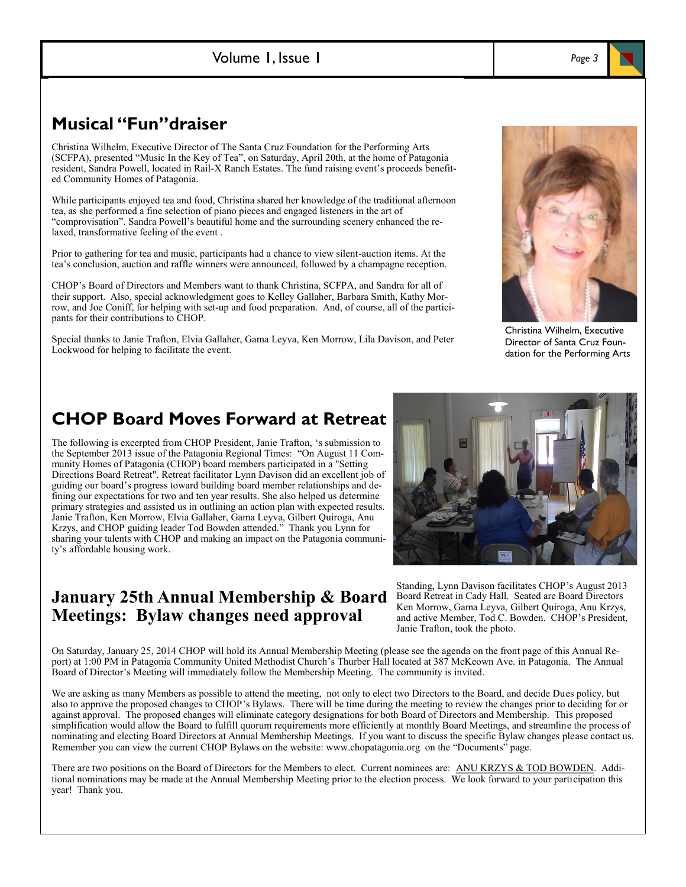# **Musical "Fun"draiser**

Christina Wilhelm, Executive Director of The Santa Cruz Foundation for the Performing Arts (SCFPA), presented "Music In the Key of Tea", on Saturday, April 20th, at the home of Patagonia resident, Sandra Powell, located in Rail-X Ranch Estates. The fund raising event's proceeds benefited Community Homes of Patagonia.

While participants enjoyed tea and food, Christina shared her knowledge of the traditional afternoon tea, as she performed a fine selection of piano pieces and engaged listeners in the art of "comprovisation". Sandra Powell's beautiful home and the surrounding scenery enhanced the relaxed, transformative feeling of the event .

Prior to gathering for tea and music, participants had a chance to view silent-auction items. At the tea's conclusion, auction and raffle winners were announced, followed by a champagne reception.

CHOP's Board of Directors and Members want to thank Christina, SCFPA, and Sandra for all of their support. Also, special acknowledgment goes to Kelley Gallaher, Barbara Smith, Kathy Morrow, and Joe Coniff, for helping with set-up and food preparation. And, of course, all of the participants for their contributions to CHOP.

Special thanks to Janie Trafton, Elvia Gallaher, Gama Leyva, Ken Morrow, Lila Davison, and Peter Lockwood for helping to facilitate the event.

# Christina Wilhelm, Executive Director of Santa Cruz Foundation for the Performing Arts

# **CHOP Board Moves Forward at Retreat**

The following is excerpted from CHOP President, Janie Trafton, 's submission to the September 2013 issue of the Patagonia Regional Times: "On August 11 Community Homes of Patagonia (CHOP) board members participated in a "Setting Directions Board Retreat". Retreat facilitator Lynn Davison did an excellent job of guiding our board's progress toward building board member relationships and defining our expectations for two and ten year results. She also helped us determine primary strategies and assisted us in outlining an action plan with expected results. Janie Trafton, Ken Morrow, Elvia Gallaher, Gama Leyva, Gilbert Quiroga, Anu Krzys, and CHOP guiding leader Tod Bowden attended." Thank you Lynn for sharing your talents with CHOP and making an impact on the Patagonia community's affordable housing work.

# **January 25th Annual Membership & Board Meetings: Bylaw changes need approval**

Standing, Lynn Davison facilitates CHOP's August 2013 Board Retreat in Cady Hall. Seated are Board Directors Ken Morrow, Gama Leyva, Gilbert Quiroga, Anu Krzys, and active Member, Tod C. Bowden. CHOP's President, Janie Trafton, took the photo.

On Saturday, January 25, 2014 CHOP will hold its Annual Membership Meeting (please see the agenda on the front page of this Annual Report) at 1:00 PM in Patagonia Community United Methodist Church's Thurber Hall located at 387 McKeown Ave. in Patagonia. The Annual Board of Director's Meeting will immediately follow the Membership Meeting. The community is invited.

We are asking as many Members as possible to attend the meeting, not only to elect two Directors to the Board, and decide Dues policy, but also to approve the proposed changes to CHOP's Bylaws. There will be time during the meeting to review the changes prior to deciding for or against approval. The proposed changes will eliminate category designations for both Board of Directors and Membership. This proposed simplification would allow the Board to fulfill quorum requirements more efficiently at monthly Board Meetings, and streamline the process of nominating and electing Board Directors at Annual Membership Meetings. If you want to discuss the specific Bylaw changes please contact us. Remember you can view the current CHOP Bylaws on the website: www.chopatagonia.org on the "Documents" page.

There are two positions on the Board of Directors for the Members to elect. Current nominees are: ANU KRZYS & TOD BOWDEN. Additional nominations may be made at the Annual Membership Meeting prior to the election process. We look forward to your participation this year! Thank you.